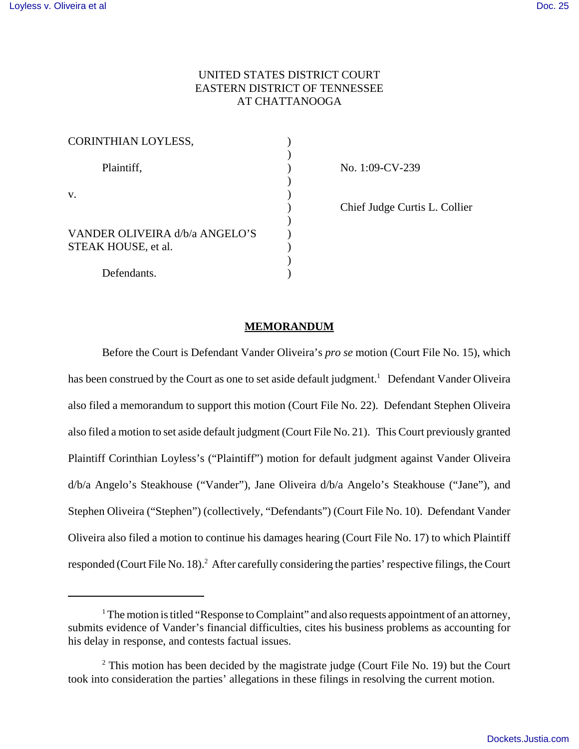# UNITED STATES DISTRICT COURT EASTERN DISTRICT OF TENNESSEE AT CHATTANOOGA

| CORINTHIAN LOYLESS,                  |  |
|--------------------------------------|--|
| Plaintiff,                           |  |
| V.<br>VANDER OLIVEIRA d/b/a ANGELO'S |  |
|                                      |  |
| STEAK HOUSE, et al.                  |  |
| Defendants.                          |  |

No. 1:09-CV-239

) Chief Judge Curtis L. Collier

#### **MEMORANDUM**

Before the Court is Defendant Vander Oliveira's *pro se* motion (Court File No. 15), which has been construed by the Court as one to set aside default judgment.<sup>1</sup> Defendant Vander Oliveira also filed a memorandum to support this motion (Court File No. 22). Defendant Stephen Oliveira also filed a motion to set aside default judgment (Court File No. 21). This Court previously granted Plaintiff Corinthian Loyless's ("Plaintiff") motion for default judgment against Vander Oliveira d/b/a Angelo's Steakhouse ("Vander"), Jane Oliveira d/b/a Angelo's Steakhouse ("Jane"), and Stephen Oliveira ("Stephen") (collectively, "Defendants") (Court File No. 10). Defendant Vander Oliveira also filed a motion to continue his damages hearing (Court File No. 17) to which Plaintiff responded (Court File No. 18).<sup>2</sup> After carefully considering the parties' respective filings, the Court

<sup>&</sup>lt;sup>1</sup> The motion is titled "Response to Complaint" and also requests appointment of an attorney, submits evidence of Vander's financial difficulties, cites his business problems as accounting for his delay in response, and contests factual issues.

 $2$  This motion has been decided by the magistrate judge (Court File No. 19) but the Court took into consideration the parties' allegations in these filings in resolving the current motion.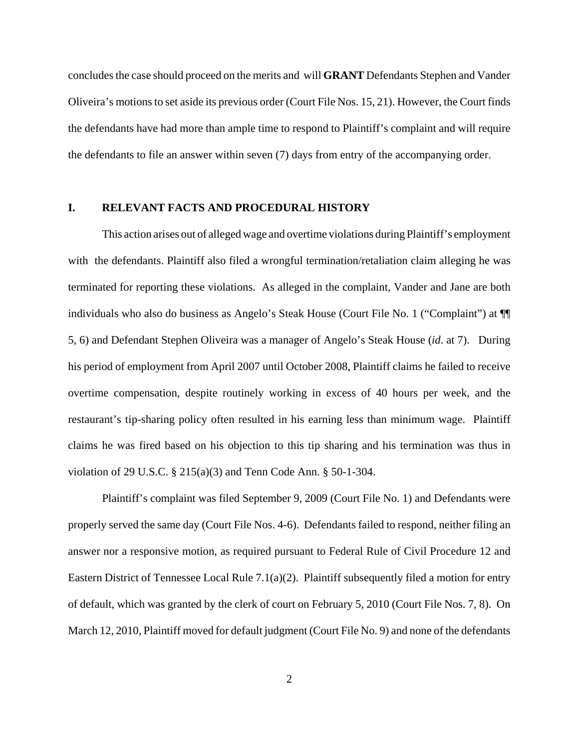concludes the case should proceed on the merits and will **GRANT** Defendants Stephen and Vander Oliveira's motions to set aside its previous order (Court File Nos. 15, 21). However, the Court finds the defendants have had more than ample time to respond to Plaintiff's complaint and will require the defendants to file an answer within seven (7) days from entry of the accompanying order.

#### **I. RELEVANT FACTS AND PROCEDURAL HISTORY**

This action arises out of alleged wage and overtime violations during Plaintiff's employment with the defendants. Plaintiff also filed a wrongful termination/retaliation claim alleging he was terminated for reporting these violations. As alleged in the complaint, Vander and Jane are both individuals who also do business as Angelo's Steak House (Court File No. 1 ("Complaint") at ¶¶ 5, 6) and Defendant Stephen Oliveira was a manager of Angelo's Steak House (*id*. at 7). During his period of employment from April 2007 until October 2008, Plaintiff claims he failed to receive overtime compensation, despite routinely working in excess of 40 hours per week, and the restaurant's tip-sharing policy often resulted in his earning less than minimum wage. Plaintiff claims he was fired based on his objection to this tip sharing and his termination was thus in violation of 29 U.S.C. § 215(a)(3) and Tenn Code Ann. § 50-1-304.

Plaintiff's complaint was filed September 9, 2009 (Court File No. 1) and Defendants were properly served the same day (Court File Nos. 4-6). Defendants failed to respond, neither filing an answer nor a responsive motion, as required pursuant to Federal Rule of Civil Procedure 12 and Eastern District of Tennessee Local Rule 7.1(a)(2). Plaintiff subsequently filed a motion for entry of default, which was granted by the clerk of court on February 5, 2010 (Court File Nos. 7, 8). On March 12, 2010, Plaintiff moved for default judgment (Court File No. 9) and none of the defendants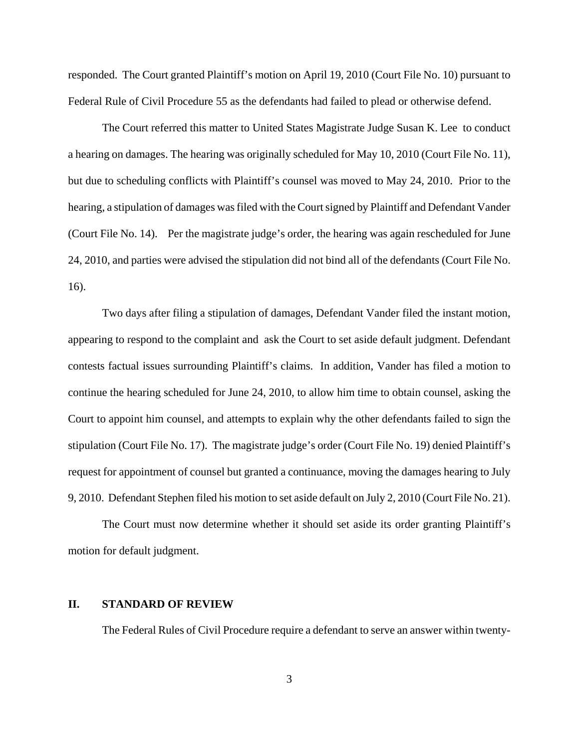responded. The Court granted Plaintiff's motion on April 19, 2010 (Court File No. 10) pursuant to Federal Rule of Civil Procedure 55 as the defendants had failed to plead or otherwise defend.

The Court referred this matter to United States Magistrate Judge Susan K. Lee to conduct a hearing on damages. The hearing was originally scheduled for May 10, 2010 (Court File No. 11), but due to scheduling conflicts with Plaintiff's counsel was moved to May 24, 2010. Prior to the hearing, a stipulation of damages was filed with the Court signed by Plaintiff and Defendant Vander (Court File No. 14). Per the magistrate judge's order, the hearing was again rescheduled for June 24, 2010, and parties were advised the stipulation did not bind all of the defendants (Court File No. 16).

Two days after filing a stipulation of damages, Defendant Vander filed the instant motion, appearing to respond to the complaint and ask the Court to set aside default judgment. Defendant contests factual issues surrounding Plaintiff's claims. In addition, Vander has filed a motion to continue the hearing scheduled for June 24, 2010, to allow him time to obtain counsel, asking the Court to appoint him counsel, and attempts to explain why the other defendants failed to sign the stipulation (Court File No. 17). The magistrate judge's order (Court File No. 19) denied Plaintiff's request for appointment of counsel but granted a continuance, moving the damages hearing to July 9, 2010. Defendant Stephen filed his motion to set aside default on July 2, 2010 (Court File No. 21).

The Court must now determine whether it should set aside its order granting Plaintiff's motion for default judgment.

## **II. STANDARD OF REVIEW**

The Federal Rules of Civil Procedure require a defendant to serve an answer within twenty-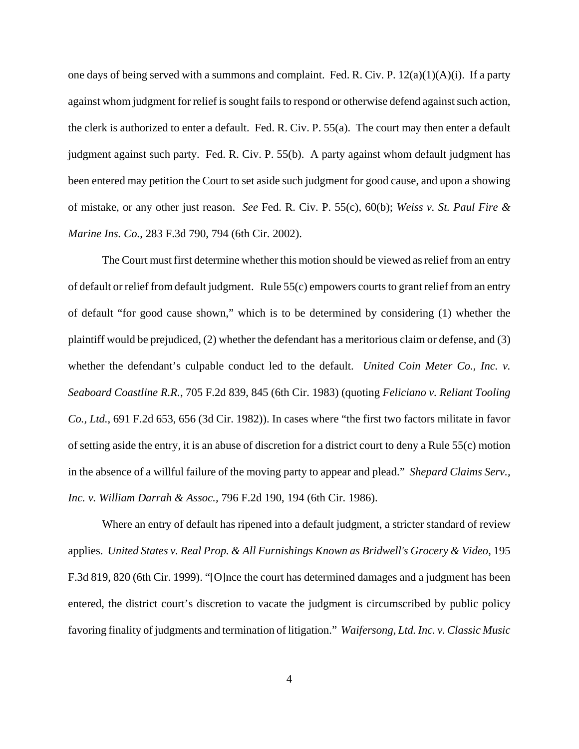one days of being served with a summons and complaint. Fed. R. Civ. P. 12(a)(1)(A)(i). If a party against whom judgment for relief is sought fails to respond or otherwise defend against such action, the clerk is authorized to enter a default. Fed. R. Civ. P. 55(a). The court may then enter a default judgment against such party. Fed. R. Civ. P. 55(b). A party against whom default judgment has been entered may petition the Court to set aside such judgment for good cause, and upon a showing of mistake, or any other just reason. *See* Fed. R. Civ. P. 55(c), 60(b); *Weiss v. St. Paul Fire & Marine Ins. Co.*, 283 F.3d 790, 794 (6th Cir. 2002).

The Court must first determine whether this motion should be viewed as relief from an entry of default or relief from default judgment. Rule 55(c) empowers courts to grant relief from an entry of default "for good cause shown," which is to be determined by considering (1) whether the plaintiff would be prejudiced, (2) whether the defendant has a meritorious claim or defense, and (3) whether the defendant's culpable conduct led to the default. *United Coin Meter Co., Inc. v. Seaboard Coastline R.R.*, 705 F.2d 839, 845 (6th Cir. 1983) (quoting *Feliciano v. Reliant Tooling Co., Ltd.*, 691 F.2d 653, 656 (3d Cir. 1982)). In cases where "the first two factors militate in favor of setting aside the entry, it is an abuse of discretion for a district court to deny a Rule 55(c) motion in the absence of a willful failure of the moving party to appear and plead." *Shepard Claims Serv., Inc. v. William Darrah & Assoc.,* 796 F.2d 190, 194 (6th Cir. 1986).

Where an entry of default has ripened into a default judgment, a stricter standard of review applies. *United States v. Real Prop. & All Furnishings Known as Bridwell's Grocery & Video*, 195 F.3d 819, 820 (6th Cir. 1999). "[O]nce the court has determined damages and a judgment has been entered, the district court's discretion to vacate the judgment is circumscribed by public policy favoring finality of judgments and termination of litigation." *Waifersong, Ltd. Inc. v. Classic Music*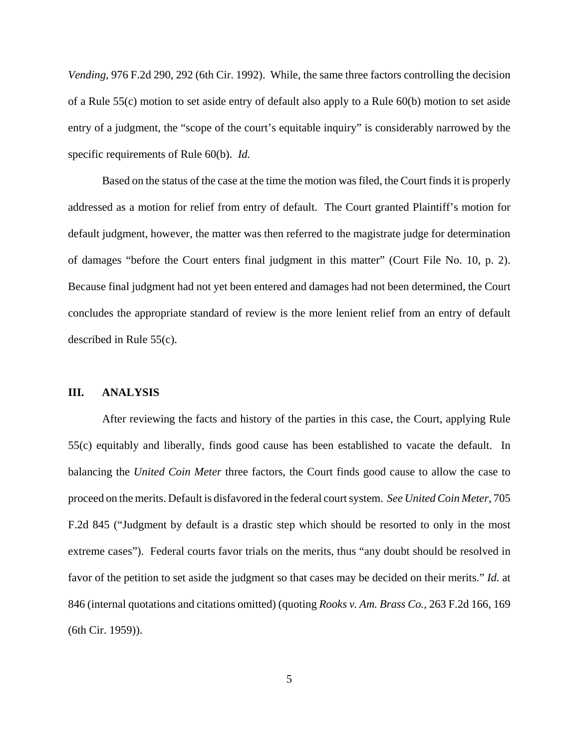*Vending*, 976 F.2d 290, 292 (6th Cir. 1992). While, the same three factors controlling the decision of a Rule 55(c) motion to set aside entry of default also apply to a Rule 60(b) motion to set aside entry of a judgment, the "scope of the court's equitable inquiry" is considerably narrowed by the specific requirements of Rule 60(b). *Id.*

Based on the status of the case at the time the motion was filed, the Court finds it is properly addressed as a motion for relief from entry of default. The Court granted Plaintiff's motion for default judgment, however, the matter was then referred to the magistrate judge for determination of damages "before the Court enters final judgment in this matter" (Court File No. 10, p. 2). Because final judgment had not yet been entered and damages had not been determined, the Court concludes the appropriate standard of review is the more lenient relief from an entry of default described in Rule 55(c).

### **III. ANALYSIS**

After reviewing the facts and history of the parties in this case, the Court, applying Rule 55(c) equitably and liberally, finds good cause has been established to vacate the default. In balancing the *United Coin Meter* three factors, the Court finds good cause to allow the case to proceed on the merits. Default is disfavored in the federal court system. *See United Coin Meter*, 705 F.2d 845 ("Judgment by default is a drastic step which should be resorted to only in the most extreme cases"). Federal courts favor trials on the merits, thus "any doubt should be resolved in favor of the petition to set aside the judgment so that cases may be decided on their merits." *Id.* at 846 (internal quotations and citations omitted) (quoting *Rooks v. Am. Brass Co.*, 263 F.2d 166, 169 (6th Cir. 1959)).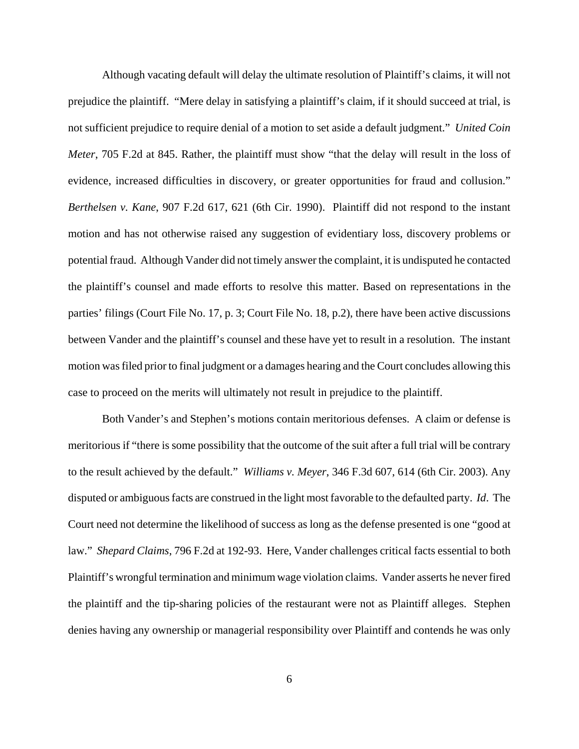Although vacating default will delay the ultimate resolution of Plaintiff's claims, it will not prejudice the plaintiff. "Mere delay in satisfying a plaintiff's claim, if it should succeed at trial, is not sufficient prejudice to require denial of a motion to set aside a default judgment." *United Coin Meter*, 705 F.2d at 845. Rather, the plaintiff must show "that the delay will result in the loss of evidence, increased difficulties in discovery, or greater opportunities for fraud and collusion." *Berthelsen v. Kane*, 907 F.2d 617, 621 (6th Cir. 1990). Plaintiff did not respond to the instant motion and has not otherwise raised any suggestion of evidentiary loss, discovery problems or potential fraud. Although Vander did not timely answer the complaint, it is undisputed he contacted the plaintiff's counsel and made efforts to resolve this matter. Based on representations in the parties' filings (Court File No. 17, p. 3; Court File No. 18, p.2), there have been active discussions between Vander and the plaintiff's counsel and these have yet to result in a resolution. The instant motion was filed prior to final judgment or a damages hearing and the Court concludes allowing this case to proceed on the merits will ultimately not result in prejudice to the plaintiff.

Both Vander's and Stephen's motions contain meritorious defenses. A claim or defense is meritorious if "there is some possibility that the outcome of the suit after a full trial will be contrary to the result achieved by the default." *Williams v. Meyer*, 346 F.3d 607, 614 (6th Cir. 2003). Any disputed or ambiguous facts are construed in the light most favorable to the defaulted party. *Id*. The Court need not determine the likelihood of success as long as the defense presented is one "good at law." *Shepard Claims*, 796 F.2d at 192-93. Here, Vander challenges critical facts essential to both Plaintiff's wrongful termination and minimum wage violation claims. Vander asserts he never fired the plaintiff and the tip-sharing policies of the restaurant were not as Plaintiff alleges. Stephen denies having any ownership or managerial responsibility over Plaintiff and contends he was only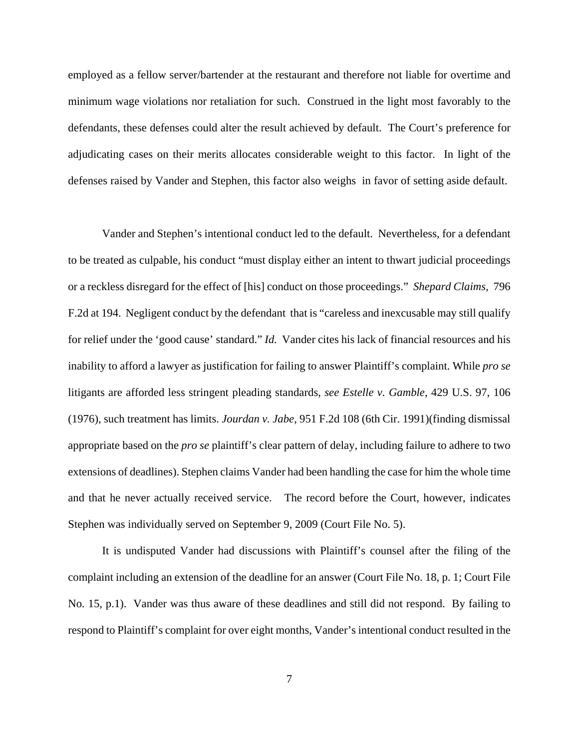employed as a fellow server/bartender at the restaurant and therefore not liable for overtime and minimum wage violations nor retaliation for such. Construed in the light most favorably to the defendants, these defenses could alter the result achieved by default. The Court's preference for adjudicating cases on their merits allocates considerable weight to this factor. In light of the defenses raised by Vander and Stephen, this factor also weighs in favor of setting aside default.

Vander and Stephen's intentional conduct led to the default. Nevertheless, for a defendant to be treated as culpable, his conduct "must display either an intent to thwart judicial proceedings or a reckless disregard for the effect of [his] conduct on those proceedings." *Shepard Claims,* 796 F.2d at 194. Negligent conduct by the defendant that is "careless and inexcusable may still qualify for relief under the 'good cause' standard." *Id.* Vander cites his lack of financial resources and his inability to afford a lawyer as justification for failing to answer Plaintiff's complaint. While *pro se* litigants are afforded less stringent pleading standards, *see Estelle v. Gamble*, 429 U.S. 97, 106 (1976), such treatment has limits. *Jourdan v. Jabe*, 951 F.2d 108 (6th Cir. 1991)(finding dismissal appropriate based on the *pro se* plaintiff's clear pattern of delay, including failure to adhere to two extensions of deadlines). Stephen claims Vander had been handling the case for him the whole time and that he never actually received service. The record before the Court, however, indicates Stephen was individually served on September 9, 2009 (Court File No. 5).

It is undisputed Vander had discussions with Plaintiff's counsel after the filing of the complaint including an extension of the deadline for an answer (Court File No. 18, p. 1; Court File No. 15, p.1). Vander was thus aware of these deadlines and still did not respond. By failing to respond to Plaintiff's complaint for over eight months, Vander's intentional conduct resulted in the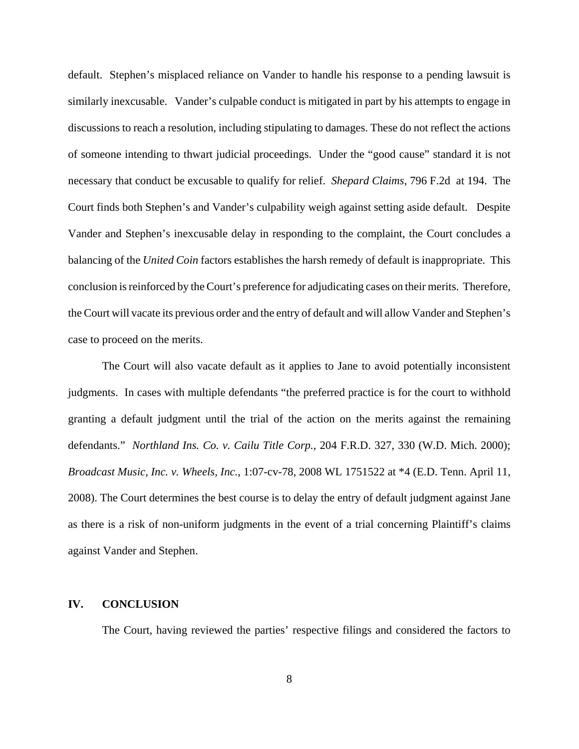default. Stephen's misplaced reliance on Vander to handle his response to a pending lawsuit is similarly inexcusable. Vander's culpable conduct is mitigated in part by his attempts to engage in discussions to reach a resolution, including stipulating to damages. These do not reflect the actions of someone intending to thwart judicial proceedings. Under the "good cause" standard it is not necessary that conduct be excusable to qualify for relief. *Shepard Claims*, 796 F.2d at 194. The Court finds both Stephen's and Vander's culpability weigh against setting aside default. Despite Vander and Stephen's inexcusable delay in responding to the complaint, the Court concludes a balancing of the *United Coin* factors establishes the harsh remedy of default is inappropriate. This conclusion is reinforced by the Court's preference for adjudicating cases on their merits. Therefore, the Court will vacate its previous order and the entry of default and will allow Vander and Stephen's case to proceed on the merits.

The Court will also vacate default as it applies to Jane to avoid potentially inconsistent judgments. In cases with multiple defendants "the preferred practice is for the court to withhold granting a default judgment until the trial of the action on the merits against the remaining defendants." *Northland Ins. Co. v. Cailu Title Corp.*, 204 F.R.D. 327, 330 (W.D. Mich. 2000); *Broadcast Music, Inc. v. Wheels, Inc.*, 1:07-cv-78, 2008 WL 1751522 at \*4 (E.D. Tenn. April 11, 2008). The Court determines the best course is to delay the entry of default judgment against Jane as there is a risk of non-uniform judgments in the event of a trial concerning Plaintiff's claims against Vander and Stephen.

## **IV. CONCLUSION**

The Court, having reviewed the parties' respective filings and considered the factors to